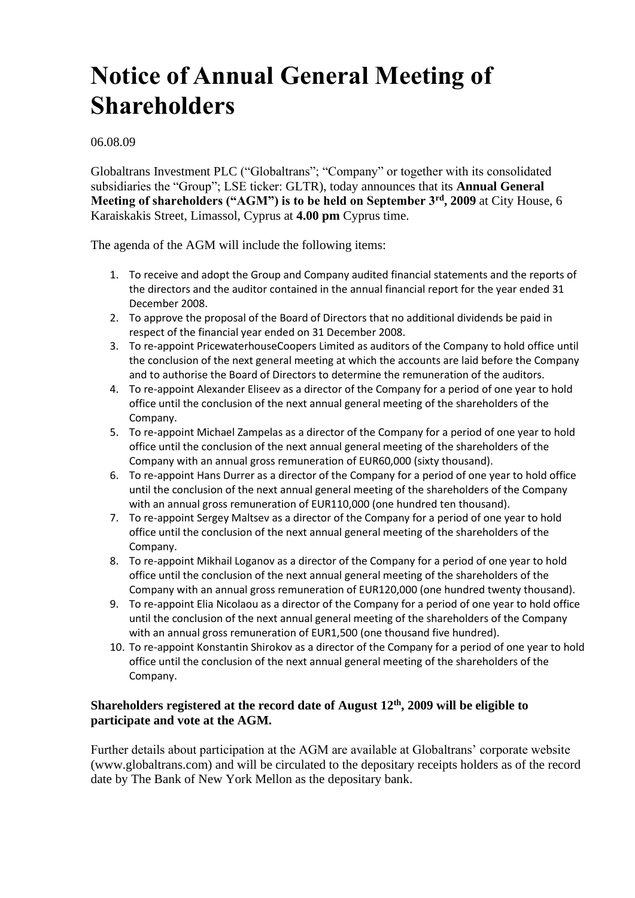# **Notice of Annual General Meeting of Shareholders**

06.08.09

Globaltrans Investment PLC ("Globaltrans"; "Company" or together with its consolidated subsidiaries the "Group"; LSE ticker: GLTR), today announces that its **Annual General Meeting of shareholders ("AGM") is to be held on September 3rd, 2009** at City House, 6 Karaiskakis Street, Limassol, Cyprus at **4.00 pm** Cyprus time.

The agenda of the AGM will include the following items:

- 1. To receive and adopt the Group and Company audited financial statements and the reports of the directors and the auditor contained in the annual financial report for the year ended 31 December 2008.
- 2. To approve the proposal of the Board of Directors that no additional dividends be paid in respect of the financial year ended on 31 December 2008.
- 3. To re-appoint PricewaterhouseCoopers Limited as auditors of the Company to hold office until the conclusion of the next general meeting at which the accounts are laid before the Company and to authorise the Board of Directors to determine the remuneration of the auditors.
- 4. To re-appoint Alexander Eliseev as a director of the Company for a period of one year to hold office until the conclusion of the next annual general meeting of the shareholders of the Company.
- 5. To re-appoint Michael Zampelas as a director of the Company for a period of one year to hold office until the conclusion of the next annual general meeting of the shareholders of the Company with an annual gross remuneration of EUR60,000 (sixty thousand).
- 6. To re-appoint Hans Durrer as a director of the Company for a period of one year to hold office until the conclusion of the next annual general meeting of the shareholders of the Company with an annual gross remuneration of EUR110,000 (one hundred ten thousand).
- 7. To re-appoint Sergey Maltsev as a director of the Company for a period of one year to hold office until the conclusion of the next annual general meeting of the shareholders of the Company.
- 8. To re-appoint Mikhail Loganov as a director of the Company for a period of one year to hold office until the conclusion of the next annual general meeting of the shareholders of the Company with an annual gross remuneration of EUR120,000 (one hundred twenty thousand).
- 9. To re-appoint Elia Nicolaou as a director of the Company for a period of one year to hold office until the conclusion of the next annual general meeting of the shareholders of the Company with an annual gross remuneration of EUR1,500 (one thousand five hundred).
- 10. To re-appoint Konstantin Shirokov as a director of the Company for a period of one year to hold office until the conclusion of the next annual general meeting of the shareholders of the Company.

## **Shareholders registered at the record date of August 12th, 2009 will be eligible to participate and vote at the AGM.**

Further details about participation at the AGM are available at Globaltrans' corporate website (www.globaltrans.com) and will be circulated to the depositary receipts holders as of the record date by The Bank of New York Mellon as the depositary bank.